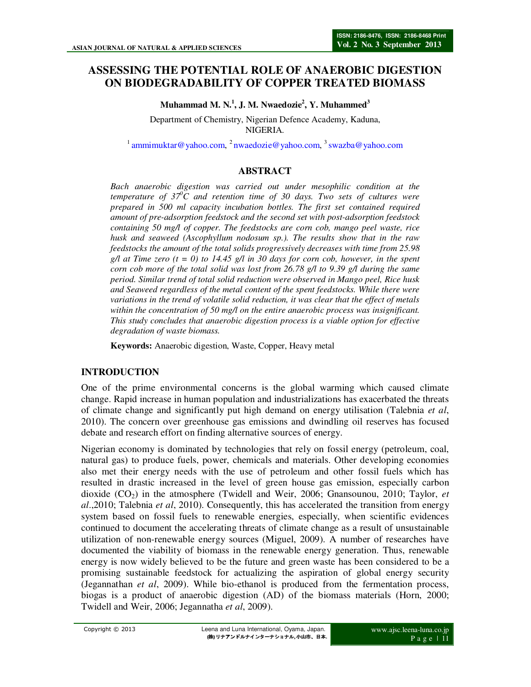# **ASSESSING THE POTENTIAL ROLE OF ANAEROBIC DIGESTION ON BIODEGRADABILITY OF COPPER TREATED BIOMASS**

**Muhammad M. N.<sup>1</sup> , J. M. Nwaedozie<sup>2</sup> , Y. Muhammed<sup>3</sup>**

Department of Chemistry, Nigerian Defence Academy, Kaduna, NIGERIA.

<sup>1</sup> ammimuktar@yahoo.com, <sup>2</sup> nwaedozie@yahoo.com, <sup>3</sup> swazba@yahoo.com

# **ABSTRACT**

*Bach anaerobic digestion was carried out under mesophilic condition at the temperature of 37<sup>0</sup>C and retention time of 30 days. Two sets of cultures were prepared in 500 ml capacity incubation bottles. The first set contained required amount of pre-adsorption feedstock and the second set with post-adsorption feedstock containing 50 mg/l of copper. The feedstocks are corn cob, mango peel waste, rice husk and seaweed (Ascophyllum nodosum sp.). The results show that in the raw feedstocks the amount of the total solids progressively decreases with time from 25.98 g*/l at Time zero  $(t = 0)$  to 14.45 g/l in 30 days for corn cob, however, in the spent *corn cob more of the total solid was lost from 26.78 g/l to 9.39 g/l during the same period. Similar trend of total solid reduction were observed in Mango peel, Rice husk and Seaweed regardless of the metal content of the spent feedstocks. While there were variations in the trend of volatile solid reduction, it was clear that the effect of metals within the concentration of 50 mg/l on the entire anaerobic process was insignificant. This study concludes that anaerobic digestion process is a viable option for effective degradation of waste biomass.*

**Keywords:** Anaerobic digestion, Waste, Copper, Heavy metal

# **INTRODUCTION**

One of the prime environmental concerns is the global warming which caused climate change. Rapid increase in human population and industrializations has exacerbated the threats of climate change and significantly put high demand on energy utilisation (Talebnia *et al*, 2010). The concern over greenhouse gas emissions and dwindling oil reserves has focused debate and research effort on finding alternative sources of energy.

Nigerian economy is dominated by technologies that rely on fossil energy (petroleum, coal, natural gas) to produce fuels, power, chemicals and materials. Other developing economies also met their energy needs with the use of petroleum and other fossil fuels which has resulted in drastic increased in the level of green house gas emission, especially carbon dioxide  $(CO<sub>2</sub>)$  in the atmosphere (Twidell and Weir, 2006; Gnansounou, 2010; Taylor, *et al*.,2010; Talebnia *et al*, 2010). Consequently, this has accelerated the transition from energy system based on fossil fuels to renewable energies, especially, when scientific evidences continued to document the accelerating threats of climate change as a result of unsustainable utilization of non-renewable energy sources (Miguel, 2009). A number of researches have documented the viability of biomass in the renewable energy generation. Thus, renewable energy is now widely believed to be the future and green waste has been considered to be a promising sustainable feedstock for actualizing the aspiration of global energy security (Jegannathan *et al*, 2009). While bio-ethanol is produced from the fermentation process, biogas is a product of anaerobic digestion (AD) of the biomass materials (Horn, 2000; Twidell and Weir, 2006; Jegannatha *et al*, 2009).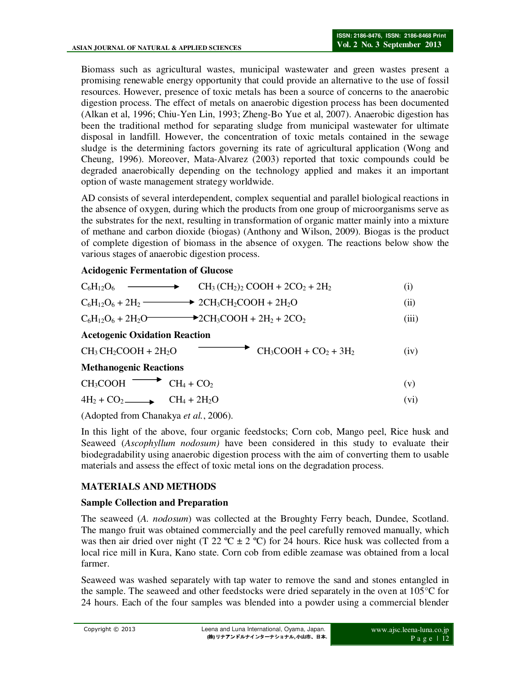Biomass such as agricultural wastes, municipal wastewater and green wastes present a promising renewable energy opportunity that could provide an alternative to the use of fossil resources. However, presence of toxic metals has been a source of concerns to the anaerobic digestion process. The effect of metals on anaerobic digestion process has been documented (Alkan et al, 1996; Chiu-Yen Lin, 1993; Zheng-Bo Yue et al, 2007). Anaerobic digestion has been the traditional method for separating sludge from municipal wastewater for ultimate disposal in landfill. However, the concentration of toxic metals contained in the sewage sludge is the determining factors governing its rate of agricultural application (Wong and Cheung, 1996). Moreover, Mata-Alvarez (2003) reported that toxic compounds could be degraded anaerobically depending on the technology applied and makes it an important option of waste management strategy worldwide.

AD consists of several interdependent, complex sequential and parallel biological reactions in the absence of oxygen, during which the products from one group of microorganisms serve as the substrates for the next, resulting in transformation of organic matter mainly into a mixture of methane and carbon dioxide (biogas) (Anthony and Wilson, 2009). Biogas is the product of complete digestion of biomass in the absence of oxygen. The reactions below show the various stages of anaerobic digestion process.

#### **Acidogenic Fermentation of Glucose**

| $CH_3(CH_2)$ , COOH + 2CO <sub>2</sub> + 2H <sub>2</sub><br>$C_6H_{12}O_6$                | $\left( 1\right)$ |
|-------------------------------------------------------------------------------------------|-------------------|
| $C_6H_1_2O_6 + 2H_2 \longrightarrow 2CH_3CH_2COOH + 2H_2O$                                | $\rm (ii)$        |
| $C_6H_{12}O_6 + 2H_2O$ $\longrightarrow$ $2CH_3COOH + 2H_2 + 2CO_2$                       | (iii)             |
| <b>Acetogenic Oxidation Reaction</b>                                                      |                   |
| $\bullet$ CH <sub>3</sub> COOH + CO <sub>2</sub> + 3H <sub>2</sub><br>$CH3CH2COOH + 2H2O$ | (iv)              |
| <b>Methanogenic Reactions</b>                                                             |                   |
| $CH_4 + CO_2$                                                                             | V                 |

 $4H_2 + CO_2$  CH<sub>4</sub> + 2H<sub>2</sub>O (vi)

(Adopted from Chanakya *et al.*, 2006).

In this light of the above, four organic feedstocks; Corn cob, Mango peel, Rice husk and Seaweed (*Ascophyllum nodosum)* have been considered in this study to evaluate their biodegradability using anaerobic digestion process with the aim of converting them to usable materials and assess the effect of toxic metal ions on the degradation process.

# **MATERIALS AND METHODS**

#### **Sample Collection and Preparation**

The seaweed (*A. nodosum*) was collected at the Broughty Ferry beach, Dundee, Scotland. The mango fruit was obtained commercially and the peel carefully removed manually, which was then air dried over night (T 22 °C  $\pm$  2 °C) for 24 hours. Rice husk was collected from a local rice mill in Kura, Kano state. Corn cob from edible zeamase was obtained from a local farmer.

Seaweed was washed separately with tap water to remove the sand and stones entangled in the sample. The seaweed and other feedstocks were dried separately in the oven at 105°C for 24 hours. Each of the four samples was blended into a powder using a commercial blender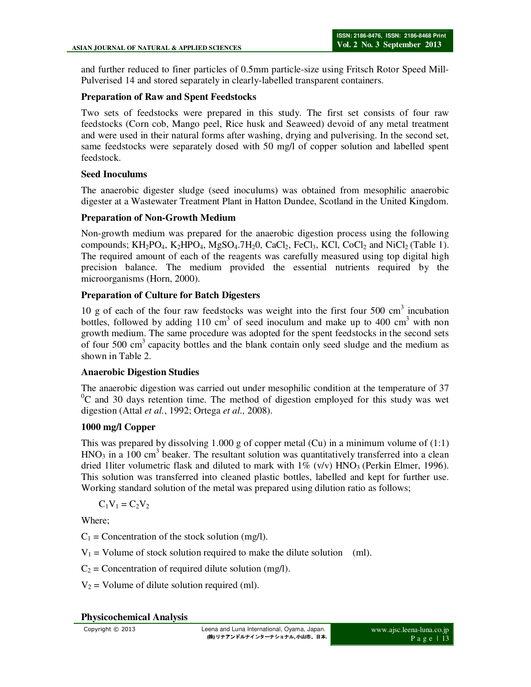and further reduced to finer particles of 0.5mm particle-size using Fritsch Rotor Speed Mill-Pulverised 14 and stored separately in clearly-labelled transparent containers.

#### **Preparation of Raw and Spent Feedstocks**

Two sets of feedstocks were prepared in this study. The first set consists of four raw feedstocks (Corn cob, Mango peel, Rice husk and Seaweed) devoid of any metal treatment and were used in their natural forms after washing, drying and pulverising. In the second set, same feedstocks were separately dosed with 50 mg/l of copper solution and labelled spent feedstock.

#### **Seed Inoculums**

The anaerobic digester sludge (seed inoculums) was obtained from mesophilic anaerobic digester at a Wastewater Treatment Plant in Hatton Dundee, Scotland in the United Kingdom.

#### **Preparation of Non-Growth Medium**

Non-growth medium was prepared for the anaerobic digestion process using the following compounds;  $KH_2PO_4$ ,  $K_2HPO_4$ ,  $MgSO_4$ .7 $H_2O$ ,  $CaCl_2$ ,  $FeCl_3$ ,  $KCl$ ,  $CoCl_2$  and  $NiCl_2$  (Table 1). The required amount of each of the reagents was carefully measured using top digital high precision balance. The medium provided the essential nutrients required by the microorganisms (Horn, 2000).

#### **Preparation of Culture for Batch Digesters**

10 g of each of the four raw feedstocks was weight into the first four  $500 \text{ cm}^3$  incubation bottles, followed by adding 110 cm<sup>3</sup> of seed inoculum and make up to 400 cm<sup>3</sup> with non growth medium. The same procedure was adopted for the spent feedstocks in the second sets of four  $500 \text{ cm}^3$  capacity bottles and the blank contain only seed sludge and the medium as shown in Table 2.

#### **Anaerobic Digestion Studies**

The anaerobic digestion was carried out under mesophilic condition at the temperature of 37  $\rm{^0C}$  and 30 days retention time. The method of digestion employed for this study was wet digestion (Attal *et al.*, 1992; Ortega *et al.,* 2008).

# **1000 mg/l Copper**

This was prepared by dissolving 1.000 g of copper metal (Cu) in a minimum volume of (1:1)  $HNO<sub>3</sub>$  in a 100 cm<sup>3</sup> beaker. The resultant solution was quantitatively transferred into a clean dried 1 liter volumetric flask and diluted to mark with  $1\%$  (v/v) HNO<sub>3</sub> (Perkin Elmer, 1996). This solution was transferred into cleaned plastic bottles, labelled and kept for further use. Working standard solution of the metal was prepared using dilution ratio as follows;

 $C_1V_1 = C_2V_2$ 

Where;

 $C_1$  = Concentration of the stock solution (mg/l).

 $V_1$  = Volume of stock solution required to make the dilute solution (ml).

 $C_2$  = Concentration of required dilute solution (mg/l).

 $V_2$  = Volume of dilute solution required (ml).

#### **Physicochemical Analysis**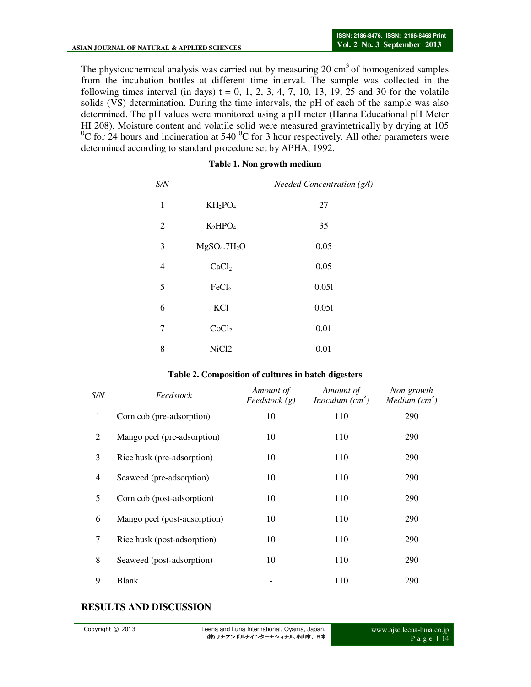The physicochemical analysis was carried out by measuring 20  $\text{cm}^3$  of homogenized samples from the incubation bottles at different time interval. The sample was collected in the following times interval (in days)  $t = 0, 1, 2, 3, 4, 7, 10, 13, 19, 25$  and 30 for the volatile solids (VS) determination. During the time intervals, the pH of each of the sample was also determined. The pH values were monitored using a pH meter (Hanna Educational pH Meter HI 208). Moisture content and volatile solid were measured gravimetrically by drying at 105 <sup>0</sup>C for 24 hours and incineration at 540 <sup>0</sup>C for 3 hour respectively. All other parameters were determined according to standard procedure set by APHA, 1992.

| S/N            |                                      | Needed Concentration (g/l) |
|----------------|--------------------------------------|----------------------------|
| $\mathbf{1}$   | $KH_2PO_4$                           | 27                         |
| $\overline{c}$ | K <sub>2</sub> HPO <sub>4</sub>      | 35                         |
| 3              | MgSO <sub>4</sub> .7H <sub>2</sub> O | 0.05                       |
| 4              | CaCl <sub>2</sub>                    | 0.05                       |
| 5              | FeCl <sub>2</sub>                    | 0.051                      |
| 6              | <b>KCl</b>                           | 0.051                      |
| 7              | CoCl <sub>2</sub>                    | 0.01                       |
| 8              | NiC <sub>12</sub>                    | 0.01                       |

| Table 1. Non growth medium |  |  |  |  |  |
|----------------------------|--|--|--|--|--|
|----------------------------|--|--|--|--|--|

| Table 2. Composition of cultures in batch digesters |  |
|-----------------------------------------------------|--|
|-----------------------------------------------------|--|

| S/N          | Feedstock                    | Amount of<br>Feedstock(g) | Amount of<br><i>Inoculum</i> $(cm3)$ | Non growth<br>Medium $(cm3)$ |
|--------------|------------------------------|---------------------------|--------------------------------------|------------------------------|
| $\mathbf{1}$ | Corn cob (pre-adsorption)    | 10                        | 110                                  | 290                          |
| 2            | Mango peel (pre-adsorption)  | 10                        | 110                                  | 290                          |
| 3            | Rice husk (pre-adsorption)   | 10                        | 110                                  | 290                          |
| 4            | Seaweed (pre-adsorption)     | 10                        | 110                                  | 290                          |
| 5            | Corn cob (post-adsorption)   | 10                        | 110                                  | 290                          |
| 6            | Mango peel (post-adsorption) | 10                        | 110                                  | 290                          |
| 7            | Rice husk (post-adsorption)  | 10                        | 110                                  | 290                          |
| 8            | Seaweed (post-adsorption)    | 10                        | 110                                  | 290                          |
| 9            | <b>Blank</b>                 |                           | 110                                  | 290                          |

#### **RESULTS AND DISCUSSION**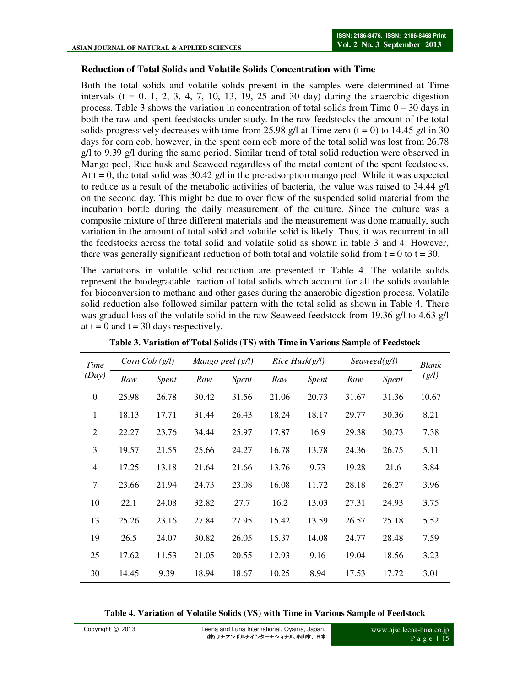#### **Reduction of Total Solids and Volatile Solids Concentration with Time**

Both the total solids and volatile solids present in the samples were determined at Time intervals  $(t = 0, 1, 2, 3, 4, 7, 10, 13, 19, 25, 30, 30, 30)$  during the anaerobic digestion process. Table 3 shows the variation in concentration of total solids from Time  $0 - 30$  days in both the raw and spent feedstocks under study. In the raw feedstocks the amount of the total solids progressively decreases with time from 25.98 g/l at Time zero  $(t = 0)$  to 14.45 g/l in 30 days for corn cob, however, in the spent corn cob more of the total solid was lost from 26.78 g/l to 9.39 g/l during the same period. Similar trend of total solid reduction were observed in Mango peel, Rice husk and Seaweed regardless of the metal content of the spent feedstocks. At  $t = 0$ , the total solid was 30.42 g/l in the pre-adsorption mango peel. While it was expected to reduce as a result of the metabolic activities of bacteria, the value was raised to 34.44 g/l on the second day. This might be due to over flow of the suspended solid material from the incubation bottle during the daily measurement of the culture. Since the culture was a composite mixture of three different materials and the measurement was done manually, such variation in the amount of total solid and volatile solid is likely. Thus, it was recurrent in all the feedstocks across the total solid and volatile solid as shown in table 3 and 4. However, there was generally significant reduction of both total and volatile solid from  $t = 0$  to  $t = 30$ .

The variations in volatile solid reduction are presented in Table 4. The volatile solids represent the biodegradable fraction of total solids which account for all the solids available for bioconversion to methane and other gases during the anaerobic digestion process. Volatile solid reduction also followed similar pattern with the total solid as shown in Table 4. There was gradual loss of the volatile solid in the raw Seaweed feedstock from 19.36 g/l to 4.63 g/l at  $t = 0$  and  $t = 30$  days respectively.

| Time           |       | Corn Cob $(g/l)$ |       | Mango peel (g/l) |       | Rice Husk(g/l) |       | Seaweed(g/l) | Blank |
|----------------|-------|------------------|-------|------------------|-------|----------------|-------|--------------|-------|
| (Day)          | Raw   | <i>Spent</i>     | Raw   | Spent            | Raw   | <i>Spent</i>   | Raw   | Spent        | (g/l) |
| $\theta$       | 25.98 | 26.78            | 30.42 | 31.56            | 21.06 | 20.73          | 31.67 | 31.36        | 10.67 |
| $\mathbf{1}$   | 18.13 | 17.71            | 31.44 | 26.43            | 18.24 | 18.17          | 29.77 | 30.36        | 8.21  |
| $\overline{2}$ | 22.27 | 23.76            | 34.44 | 25.97            | 17.87 | 16.9           | 29.38 | 30.73        | 7.38  |
| 3              | 19.57 | 21.55            | 25.66 | 24.27            | 16.78 | 13.78          | 24.36 | 26.75        | 5.11  |
| $\overline{4}$ | 17.25 | 13.18            | 21.64 | 21.66            | 13.76 | 9.73           | 19.28 | 21.6         | 3.84  |
| 7              | 23.66 | 21.94            | 24.73 | 23.08            | 16.08 | 11.72          | 28.18 | 26.27        | 3.96  |
| 10             | 22.1  | 24.08            | 32.82 | 27.7             | 16.2  | 13.03          | 27.31 | 24.93        | 3.75  |
| 13             | 25.26 | 23.16            | 27.84 | 27.95            | 15.42 | 13.59          | 26.57 | 25.18        | 5.52  |
| 19             | 26.5  | 24.07            | 30.82 | 26.05            | 15.37 | 14.08          | 24.77 | 28.48        | 7.59  |
| 25             | 17.62 | 11.53            | 21.05 | 20.55            | 12.93 | 9.16           | 19.04 | 18.56        | 3.23  |
| 30             | 14.45 | 9.39             | 18.94 | 18.67            | 10.25 | 8.94           | 17.53 | 17.72        | 3.01  |

**Table 3. Variation of Total Solids (TS) with Time in Various Sample of Feedstock** 

**Table 4. Variation of Volatile Solids (VS) with Time in Various Sample of Feedstock**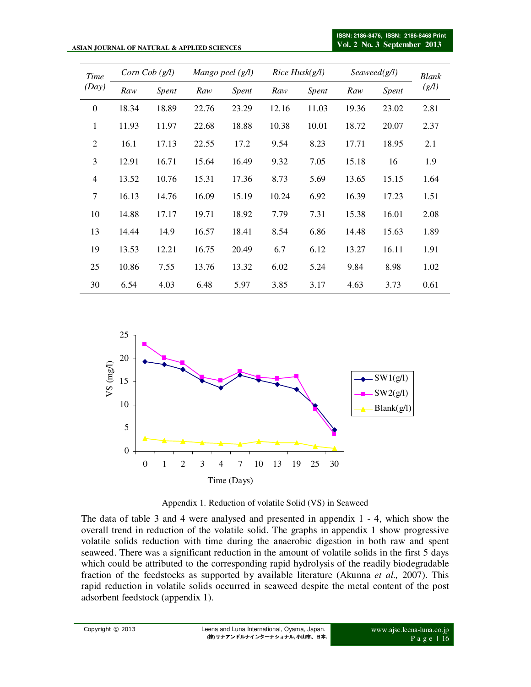#### **ASIAN JOURNAL OF NATURAL & APPLIED SCIENCES**

| Time<br>(Day)  | Corn Cob $(g/l)$ |       | Mango peel $(g/l)$ |       | Rice Husk(g/l) |       | Seaweed(g/l) |       | <b>Blank</b> |
|----------------|------------------|-------|--------------------|-------|----------------|-------|--------------|-------|--------------|
|                | Raw              | Spent | Raw                | Spent | Raw            | Spent | Raw          | Spent | (g/l)        |
| $\theta$       | 18.34            | 18.89 | 22.76              | 23.29 | 12.16          | 11.03 | 19.36        | 23.02 | 2.81         |
| $\mathbf{1}$   | 11.93            | 11.97 | 22.68              | 18.88 | 10.38          | 10.01 | 18.72        | 20.07 | 2.37         |
| $\overline{2}$ | 16.1             | 17.13 | 22.55              | 17.2  | 9.54           | 8.23  | 17.71        | 18.95 | 2.1          |
| 3              | 12.91            | 16.71 | 15.64              | 16.49 | 9.32           | 7.05  | 15.18        | 16    | 1.9          |
| 4              | 13.52            | 10.76 | 15.31              | 17.36 | 8.73           | 5.69  | 13.65        | 15.15 | 1.64         |
| $\tau$         | 16.13            | 14.76 | 16.09              | 15.19 | 10.24          | 6.92  | 16.39        | 17.23 | 1.51         |
| 10             | 14.88            | 17.17 | 19.71              | 18.92 | 7.79           | 7.31  | 15.38        | 16.01 | 2.08         |
| 13             | 14.44            | 14.9  | 16.57              | 18.41 | 8.54           | 6.86  | 14.48        | 15.63 | 1.89         |
| 19             | 13.53            | 12.21 | 16.75              | 20.49 | 6.7            | 6.12  | 13.27        | 16.11 | 1.91         |
| 25             | 10.86            | 7.55  | 13.76              | 13.32 | 6.02           | 5.24  | 9.84         | 8.98  | 1.02         |
| 30             | 6.54             | 4.03  | 6.48               | 5.97  | 3.85           | 3.17  | 4.63         | 3.73  | 0.61         |



Appendix 1. Reduction of volatile Solid (VS) in Seaweed

The data of table 3 and 4 were analysed and presented in appendix 1 - 4, which show the overall trend in reduction of the volatile solid. The graphs in appendix 1 show progressive volatile solids reduction with time during the anaerobic digestion in both raw and spent seaweed. There was a significant reduction in the amount of volatile solids in the first 5 days which could be attributed to the corresponding rapid hydrolysis of the readily biodegradable fraction of the feedstocks as supported by available literature (Akunna *et al.,* 2007). This rapid reduction in volatile solids occurred in seaweed despite the metal content of the post adsorbent feedstock (appendix 1).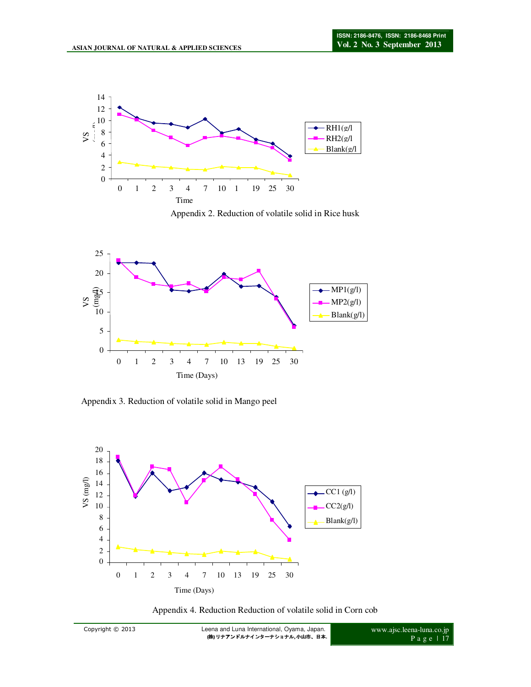

Appendix 2. Reduction of volatile solid in Rice husk



Appendix 3. Reduction of volatile solid in Mango peel



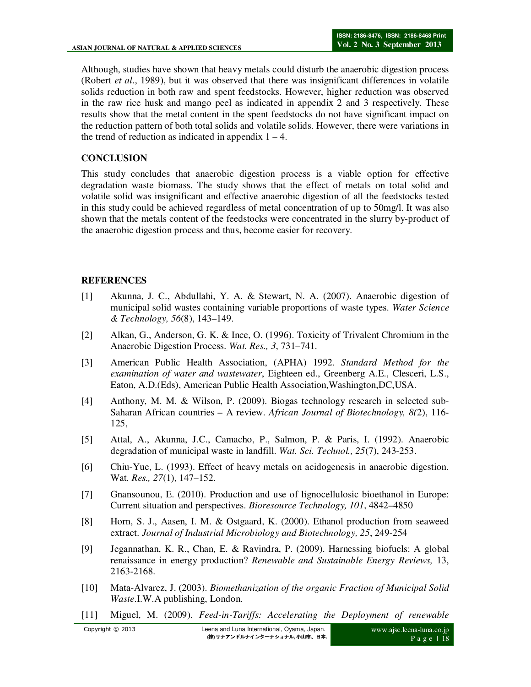Although, studies have shown that heavy metals could disturb the anaerobic digestion process (Robert *et al*., 1989), but it was observed that there was insignificant differences in volatile solids reduction in both raw and spent feedstocks. However, higher reduction was observed in the raw rice husk and mango peel as indicated in appendix 2 and 3 respectively. These results show that the metal content in the spent feedstocks do not have significant impact on the reduction pattern of both total solids and volatile solids. However, there were variations in the trend of reduction as indicated in appendix  $1 - 4$ .

# **CONCLUSION**

This study concludes that anaerobic digestion process is a viable option for effective degradation waste biomass. The study shows that the effect of metals on total solid and volatile solid was insignificant and effective anaerobic digestion of all the feedstocks tested in this study could be achieved regardless of metal concentration of up to 50mg/l. It was also shown that the metals content of the feedstocks were concentrated in the slurry by-product of the anaerobic digestion process and thus, become easier for recovery.

# **REFERENCES**

- [1] Akunna, J. C., Abdullahi, Y. A. & Stewart, N. A. (2007). Anaerobic digestion of municipal solid wastes containing variable proportions of waste types. *Water Science & Technology, 56*(8), 143–149.
- [2] Alkan, G., Anderson, G. K. & Ince, O. (1996). Toxicity of Trivalent Chromium in the Anaerobic Digestion Process. *Wat. Res., 3*, 731–741.
- [3] American Public Health Association, (APHA) 1992. *Standard Method for the examination of water and wastewater*, Eighteen ed., Greenberg A.E., Clesceri, L.S., Eaton, A.D.(Eds), American Public Health Association,Washington,DC,USA.
- [4] Anthony, M. M. & Wilson, P. (2009). Biogas technology research in selected sub-Saharan African countries – A review. *African Journal of Biotechnology, 8(*2), 116- 125,
- [5] Attal, A., Akunna, J.C., Camacho, P., Salmon, P. & Paris, I. (1992). Anaerobic degradation of municipal waste in landfill. *Wat. Sci. Technol., 25*(7), 243-253.
- [6] Chiu-Yue, L. (1993). Effect of heavy metals on acidogenesis in anaerobic digestion. Wat*. Res., 27*(1), 147–152.
- [7] Gnansounou, E. (2010). Production and use of lignocellulosic bioethanol in Europe: Current situation and perspectives. *Bioresource Technology, 101*, 4842–4850
- [8] Horn, S. J., Aasen, I. M. & Ostgaard, K. (2000). Ethanol production from seaweed extract. *Journal of Industrial Microbiology and Biotechnology, 25*, 249-254
- [9] Jegannathan, K. R., Chan, E. & Ravindra, P. (2009). Harnessing biofuels: A global renaissance in energy production? *Renewable and Sustainable Energy Reviews,* 13, 2163-2168.
- [10] Mata-Alvarez, J. (2003). *Biomethanization of the organic Fraction of Municipal Solid Waste*.I.W.A publishing, London.
- [11] Miguel, M. (2009). *Feed-in-Tariffs: Accelerating the Deployment of renewable*